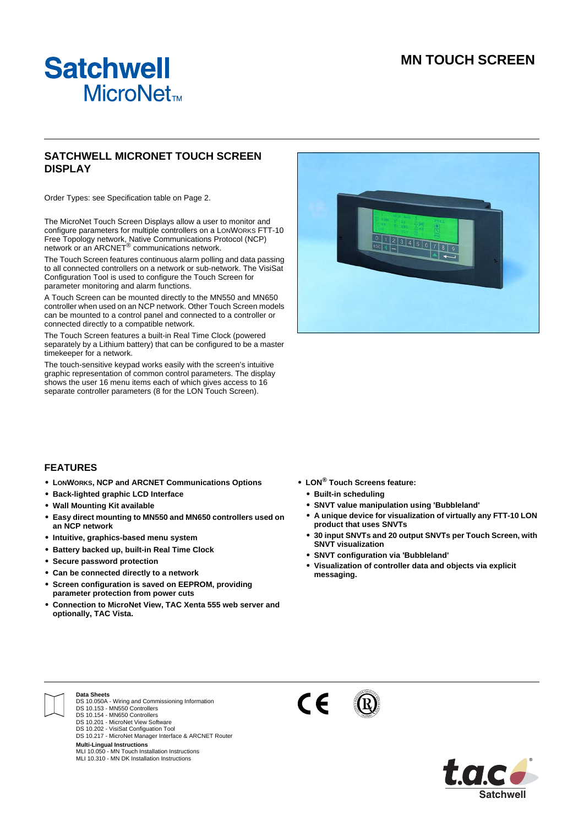# **MN TOUCH SCREEN**



# **SATCHWELL MICRONET TOUCH SCREEN DISPLAY**

Order Types: see Specification table on Page 2.

The MicroNet Touch Screen Displays allow a user to monitor and configure parameters for multiple controllers on a LONWORKS FTT-10 Free Topology network, Native Communications Protocol (NCP)<br>network or an ARCNET® communications network.

The Touch Screen features continuous alarm polling and data passing to all connected controllers on a network or sub-network. The VisiSat Configuration Tool is used to configure the Touch Screen for parameter monitoring and alarm functions.

A Touch Screen can be mounted directly to the MN550 and MN650 controller when used on an NCP network. Other Touch Screen models can be mounted to a control panel and connected to a controller or connected directly to a compatible network.

The Touch Screen features a built-in Real Time Clock (powered separately by a Lithium battery) that can be configured to be a master timekeeper for a network.

The touch-sensitive keypad works easily with the screen's intuitive graphic representation of common control parameters. The display shows the user 16 menu items each of which gives access to 16 separate controller parameters (8 for the LON Touch Screen).



#### **FEATURES**

- **• LONWORKS, NCP and ARCNET Communications Options**
- **• Back-lighted graphic LCD Interface**
- **• Wall Mounting Kit available**
- **• Easy direct mounting to MN550 and MN650 controllers used on an NCP network**
- **• Intuitive, graphics-based menu system**
- **• Battery backed up, built-in Real Time Clock**
- **• Secure password protection**
- **• Can be connected directly to a network**
- **• Screen configuration is saved on EEPROM, providing parameter protection from power cuts**
- **• Connection to MicroNet View, TAC Xenta 555 web server and optionally, TAC Vista.**
- **• LON® Touch Screens feature:**
	- **• Built-in scheduling**
	- **• SNVT value manipulation using 'Bubbleland'**
	- **• A unique device for visualization of virtually any FTT-10 LON product that uses SNVTs**
	- **• 30 input SNVTs and 20 output SNVTs per Touch Screen, with SNVT visualization**
	- **• SNVT configuration via 'Bubbleland'**
	- **• Visualization of controller data and objects via explicit messaging.**



# **Data Sheets**

- DS 10.050A Wiring and Commissioning Information DS 10.153 MN550 Controllers
- DS 10.154 MN650 Controllers
- DS 10.201 MicroNet View Software
- DS 10.202 VisiSat Configuation Tool DS 10.217 MicroNet Manager Interface & ARCNET Router

**Multi-Lingual Instructions**<br>MLI 10.050 - MN Touch Installation Instructions<br>MLI 10.310 - MN DK Installation Instructions



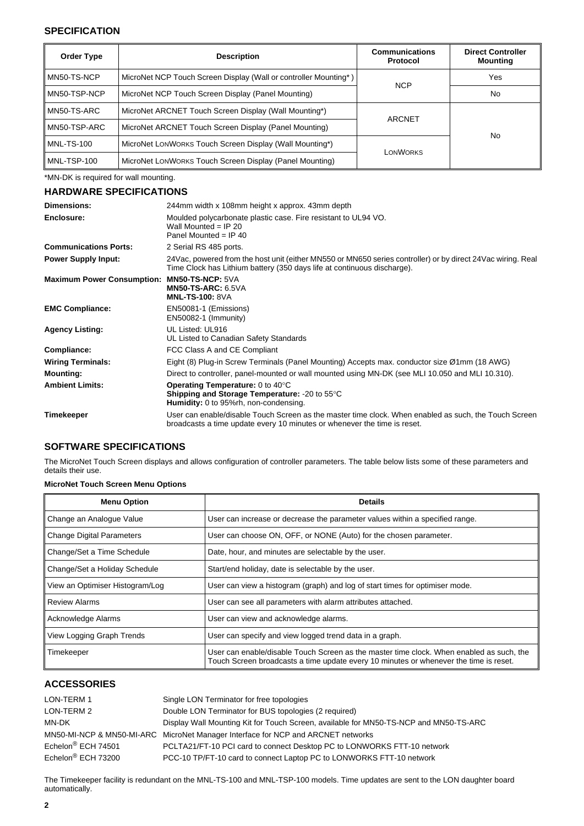### **SPECIFICATION**

| Order Type        | <b>Description</b>                                               | <b>Communications</b><br>Protocol | <b>Direct Controller</b><br><b>Mounting</b> |
|-------------------|------------------------------------------------------------------|-----------------------------------|---------------------------------------------|
| MN50-TS-NCP       | MicroNet NCP Touch Screen Display (Wall or controller Mounting*) |                                   | Yes                                         |
| MN50-TSP-NCP      | MicroNet NCP Touch Screen Display (Panel Mounting)               | <b>NCP</b>                        | No.                                         |
| MN50-TS-ARC       | MicroNet ARCNET Touch Screen Display (Wall Mounting*)            | <b>ARCNET</b>                     |                                             |
| MN50-TSP-ARC      | MicroNet ARCNET Touch Screen Display (Panel Mounting)            |                                   |                                             |
| <b>MNL-TS-100</b> | MicroNet LONWORKS Touch Screen Display (Wall Mounting*)          |                                   | <b>No</b>                                   |
| MNL-TSP-100       | MicroNet LONWORKS Touch Screen Display (Panel Mounting)          | LONWORKS                          |                                             |

\*MN-DK is required for wall mounting.

# **HARDWARE SPECIFICATIONS**

| <b>Dimensions:</b>                | 244mm width x 108mm height x approx. 43mm depth                                                                                                                                        |
|-----------------------------------|----------------------------------------------------------------------------------------------------------------------------------------------------------------------------------------|
| Enclosure:                        | Moulded polycarbonate plastic case. Fire resistant to UL94 VO.<br>Wall Mounted = $IP 20$<br>Panel Mounted = $IP$ 40                                                                    |
| <b>Communications Ports:</b>      | 2 Serial RS 485 ports.                                                                                                                                                                 |
| <b>Power Supply Input:</b>        | 24Vac, powered from the host unit (either MN550 or MN650 series controller) or by direct 24Vac wiring. Real<br>Time Clock has Lithium battery (350 days life at continuous discharge). |
| <b>Maximum Power Consumption:</b> | <b>MN50-TS-NCP: 5VA</b><br><b>MN50-TS-ARC: 6.5VA</b><br><b>MNL-TS-100: 8VA</b>                                                                                                         |
| <b>EMC Compliance:</b>            | EN50081-1 (Emissions)<br>EN50082-1 (Immunity)                                                                                                                                          |
| <b>Agency Listing:</b>            | UL Listed: UL916<br>UL Listed to Canadian Safety Standards                                                                                                                             |
| Compliance:                       | FCC Class A and CE Compliant                                                                                                                                                           |
| <b>Wiring Terminals:</b>          | Eight (8) Plug-in Screw Terminals (Panel Mounting) Accepts max. conductor size Ø1mm (18 AWG)                                                                                           |
| <b>Mounting:</b>                  | Direct to controller, panel-mounted or wall mounted using MN-DK (see MLI 10.050 and MLI 10.310).                                                                                       |
| <b>Ambient Limits:</b>            | Operating Temperature: 0 to 40°C<br><b>Shipping and Storage Temperature:</b> -20 to $55^{\circ}$ C<br><b>Humidity:</b> 0 to 95%rh, non-condensing.                                     |
| Timekeeper                        | User can enable/disable Touch Screen as the master time clock. When enabled as such, the Touch Screen<br>broadcasts a time update every 10 minutes or whenever the time is reset.      |

# **SOFTWARE SPECIFICATIONS**

The MicroNet Touch Screen displays and allows configuration of controller parameters. The table below lists some of these parameters and details their use.

#### **MicroNet Touch Screen Menu Options**

| <b>Menu Option</b>               | <b>Details</b>                                                                                                                                                                    |
|----------------------------------|-----------------------------------------------------------------------------------------------------------------------------------------------------------------------------------|
| Change an Analogue Value         | User can increase or decrease the parameter values within a specified range.                                                                                                      |
| <b>Change Digital Parameters</b> | User can choose ON, OFF, or NONE (Auto) for the chosen parameter.                                                                                                                 |
| Change/Set a Time Schedule       | Date, hour, and minutes are selectable by the user.                                                                                                                               |
| Change/Set a Holiday Schedule    | Start/end holiday, date is selectable by the user.                                                                                                                                |
| View an Optimiser Histogram/Log  | User can view a histogram (graph) and log of start times for optimiser mode.                                                                                                      |
| <b>Review Alarms</b>             | User can see all parameters with alarm attributes attached.                                                                                                                       |
| Acknowledge Alarms               | User can view and acknowledge alarms.                                                                                                                                             |
| View Logging Graph Trends        | User can specify and view logged trend data in a graph.                                                                                                                           |
| Timekeeper                       | User can enable/disable Touch Screen as the master time clock. When enabled as such, the<br>Touch Screen broadcasts a time update every 10 minutes or whenever the time is reset. |

# **ACCESSORIES**

| LON-TERM 1                     | Single LON Terminator for free topologies                                             |
|--------------------------------|---------------------------------------------------------------------------------------|
| LON-TERM 2                     | Double LON Terminator for BUS topologies (2 required)                                 |
| MN-DK                          | Display Wall Mounting Kit for Touch Screen, available for MN50-TS-NCP and MN50-TS-ARC |
|                                | MN50-MI-NCP & MN50-MI-ARC MicroNet Manager Interface for NCP and ARCNET networks      |
| Echelon <sup>®</sup> ECH 74501 | PCLTA21/FT-10 PCI card to connect Desktop PC to LONWORKS FTT-10 network               |
| Echelon <sup>®</sup> ECH 73200 | PCC-10 TP/FT-10 card to connect Laptop PC to LONWORKS FTT-10 network                  |
|                                |                                                                                       |

The Timekeeper facility is redundant on the MNL-TS-100 and MNL-TSP-100 models. Time updates are sent to the LON daughter board automatically.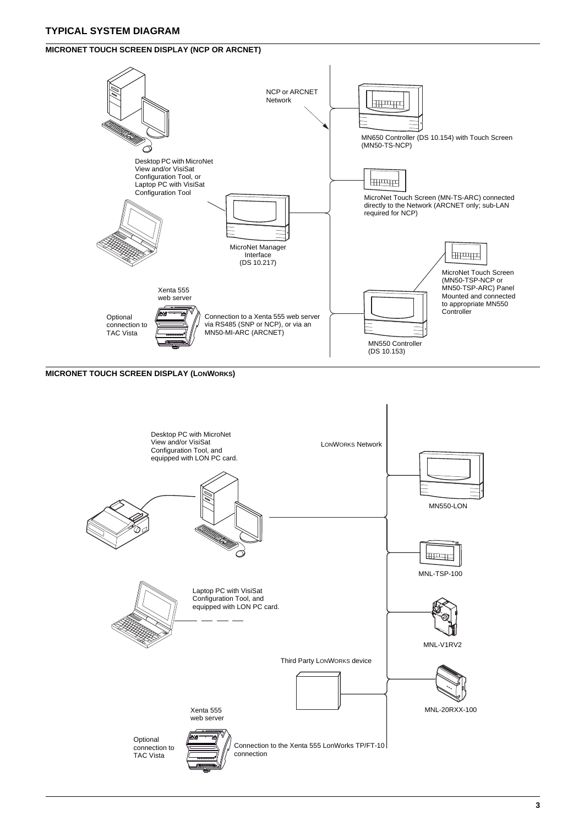# **TYPICAL SYSTEM DIAGRAM**

### **MICRONET TOUCH SCREEN DISPLAY (NCP OR ARCNET)**



### **MICRONET TOUCH SCREEN DISPLAY (LONWORKS)**